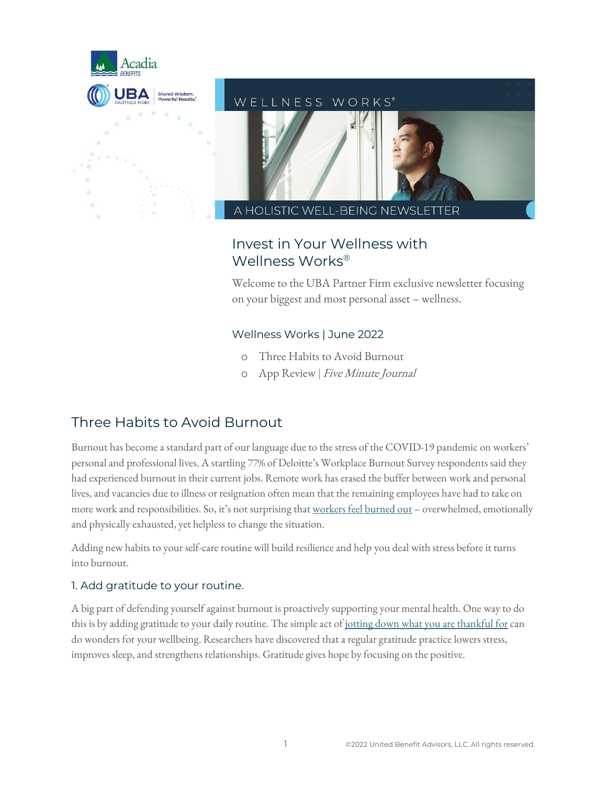

# WELLNESS WORKS\*

**HOLISTIC WELL-BEING NEW** 

# Invest in Your Wellness with Wellness Works®

Welcome to the UBA Partner Firm exclusive newsletter focusing on your biggest and most personal asset – wellness.

# Wellness Works | June 2022

- o Three Habits to Avoid Burnout
- o App Review | Five Minute Journal

# Three Habits to Avoid Burnout

Burnout has become a standard part of our language due to the stress of the COVID-19 pandemic on workers' personal and professional lives. A startling 77% of Deloitte's Workplace Burnout Survey respondents said they had experienced burnout in their current jobs. Remote work has erased the buffer between work and personal lives, and vacancies due to illness or resignation often mean that the remaining employees have had to take on more work and responsibilities. So, it's not surprising that [workers feel burned out](https://action.deloitte.com/insight/1568/burnout-is-a-current-problem-requiring-long-term-solutions) – overwhelmed, emotionally and physically exhausted, yet helpless to change the situation.

Adding new habits to your self-care routine will build resilience and help you deal with stress before it turns into burnout.

## 1. Add gratitude to your routine.

A big part of defending yourself against burnout is proactively supporting your mental health. One way to do this is by adding gratitude to your daily routine. The simple act of [jotting down what you are thankful for](https://www.npr.org/sections/health-shots/2018/12/24/678232331/if-you-feel-thankful-write-it-down-its-good-for-your-health) can do wonders for your wellbeing. Researchers have discovered that aregular gratitude practice lowers stress, improves sleep, and strengthens relationships. Gratitude gives hope by focusing on the positive.